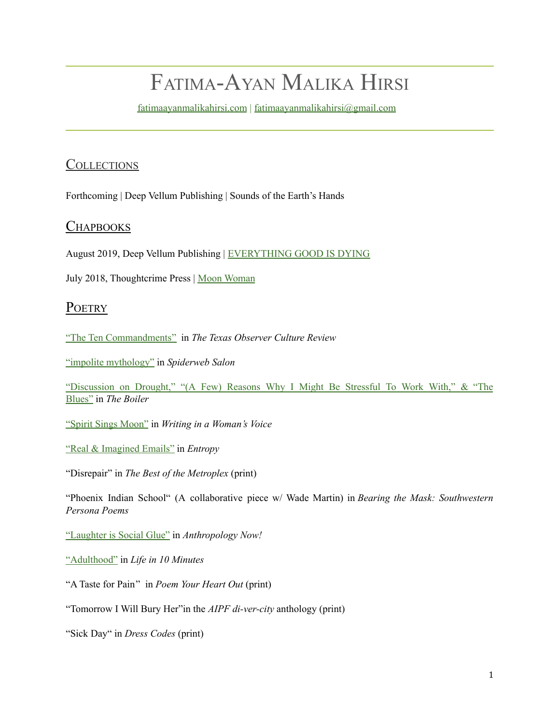# FATIMA-AYAN MALIKA HIRSI

[fatimaayanmalikahirsi.com](https://fatimaayanmalikahirsi.com/) | [fatimaayanmalikahirsi@gmail.com](mailto:fatimaayanmalikahirsi@gmail.com)

# **COLLECTIONS**

Forthcoming | Deep Vellum Publishing | Sounds of the Earth's Hands

## **CHAPBOOKS**

August 2019, Deep Vellum Publishing | [EVERYTHING](https://store.deepvellum.org/collections/all-inventory/products/everything-good-is-dying) GOOD IS DYING

July 2018, Thoughtcrime Press | Moon [Woman](http://thoughtcrimepress.com/portfolio/moon-woman-by-fatima-ayan-malika-hirsi-2018/)

## **POETRY**

"The Ten [Commandments"](https://mailchi.mp/texasobserver/culture-february-76715?fbclid=IwAR0zfCGySmBkoUz6L255DGuHbcizzrbVTB6M0T_nptZWPbIDfwrAThSc8sw) in *The Texas Observer Culture Review*

"impolite [mythology"](https://www.spiderwebsalon.com/blog/2018/1/featured-writer-fatima-ayan-malika-hirsi) in *Spiderweb Salon*

"[Discussion](https://theboilerjournal.com/2017/10/22/fatima-ayan-malika-hirsi/) on Drought," "(A Few) Reasons Why I Might Be Stressful To Work With," & "The [Blues](https://theboilerjournal.com/2017/10/22/fatima-ayan-malika-hirsi/)" in *The Boiler*

"Spirit Sings [Moon"](http://writinginawomansvoice.blogspot.com/2017/09/spirit-sings-moon-by-fatima-ayan-malika.html) in *Writing in a Woman's Voice*

"Real & [Imagined](http://entropymag.org/city-of-dispatches-from-16-dallas-poets/) Emails" in *Entropy*

"Disrepair" in *The Best of the Metroplex* (print)

"[Phoenix](https://www.amazon.com/Bearing-Mask-Southwestern-American-Southwest/dp/0984039996) Indian School" (A collaborative piece w/ Wade Martin) in *Bearing the Mask: Southwestern Persona Poems*

"[Laughter](http://anthronow.com/online-articles/laughter-is-social-glue-2) is Social Glue" in *Anthropology Now!*

"[Adulthood"](http://www.lifein10minutes.com/your-10/2015/6/10/adulthood) in *Life in 10 Minutes*

"A [Taste](http://www.amazon.com/Poem-Your-Heart-Out-Prompts/dp/0692317465/ref=sr_1_1?ie=UTF8&qid=1434138975&sr=8-1&keywords=poem+your+heart+out&pebp=1434138994241&perid=A8BABEF37D714B54B47E) for Pain" in *Poem Your Heart Out* (print)

"Tomorrow I Will Bury Her"in the *AIPF di-ver-city* anthology (print)

"[Sick](https://www.indiegogo.com/projects/dress-codes-wearable-art-poetry-women-s-lives#/) Day" in *Dress Codes* (print)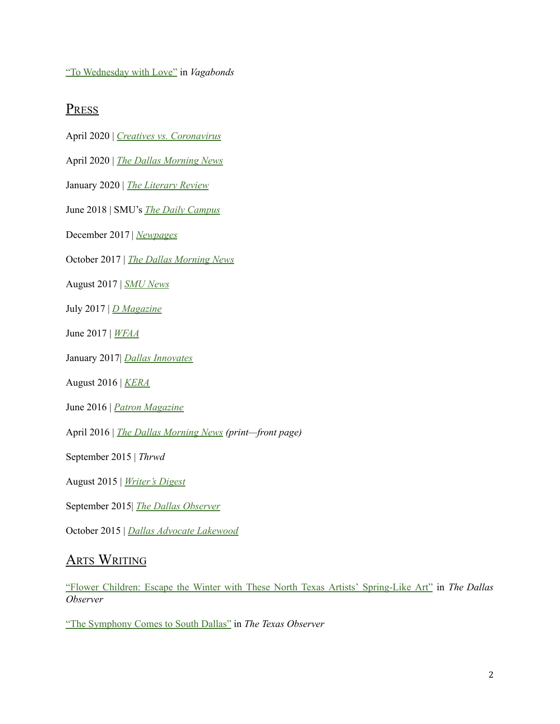"To [Wednesday](http://www.vagabondsink.com/#!To-Wednesday-with-Love-by-Fatima-Hirsi/c1r11/087A4243-92B5-4A93-909C-FD23CEB1A637) with Love" in *Vagabonds*

# PRESS

- April 2020 | *Creatives vs. [Coronavirus](https://www.daniburlison.com/creatives-vs-coronavirus/2020/4/29/creatives-vs-coronavirus-fatima-ayan-malika-hirsi)*
- April 2020 | *The Dallas [Morning](https://www.dallasnews.com/arts-entertainment/books/2020/04/05/arts-and-the-city-dallas-writers-are-embracing-their-newfound-solitude-and-singing-to-their-cats/?fbclid=IwAR0n_JwhajW_s1JBePdzGoWf5ZjvqNtQ5rymw0ABemoMkJ0Si5tSzPi2Ino) News*
- January 2020 | *The [Literary](https://www.theliteraryreview.org/book-review/a-review-of-everything-good-is-dying-el-poemario-del-colibri-the-hummingbird-poems-and-dallas-spleen-by-fatima-ayan-malika-hirsi-edyka-chilome-and-mike-soto/) Review*
- June 2018 | SMU's *The Daily [Campus](https://www.newpages.com/literary-magazine-reviews/boiler-fall-2017)*
- December 2017 | *[Newpages](https://www.newpages.com/literary-magazine-reviews/boiler-fall-2017)*
- October 2017 | *The Dallas [Morning](https://www.dallasnews.com/news/dallas/2017/10/04/dallas-group-takes-wonders-poetry-pleasant-grove-supermarket) News*
- August 2017 | *SMU [News](https://www.smu.edu/News/2017/typewriter-poet-22aug2017)*
- July 2017 | *D [Magazine](https://www.dmagazine.com/arts-entertainment/2017/07/fatima-hirsi-is-dallas-sidewalk-poet/)*
- June 2017 | *[WFAA](https://www.youtube.com/watch?v=Y4FiUZpO-JY&feature=youtu.be)*
- January 2017| *Dallas [Innovates](https://dallasinnovates.com/deep-ellum-poet-helps-women-find-their-voice-through-event-series/)*
- August 2016 | *[KERA](http://artandseek.org/spotlight/fatima-hirsi/)*
- June 2016 | *Patron [Magazine](https://issuu.com/patronmagazine/docs/patron_june-july_issue_2016)*
- April 2016 | *The Dallas [Morning](https://www.youtube.com/watch?v=JlARQXffmFg) News (print—front page)*
- September 2015 | *Thrwd*
- August 2015 | *[Writer's](https://www.writersdigest.com/whats-new/fatima-hirsi-poet-interview) Digest*
- September 2015| *The Dallas [Observer](https://www.dallasobserver.com/arts/there-is-a-street-poet-in-dallas-creating-beautiful-words-by-request-7088326)*
- October 2015 | *Dallas Advocate [Lakewood](https://lakewood.advocatemag.com/word-street/)*

# **ARTS WRITING**

"Flower Children: Escape the Winter with These North Texas Artists' [Spring-Like](https://www.dallasobserver.com/arts/flower-children-eight-north-texans-who-make-art-out-of-plants-11803401) Art" in *The Dallas Observer*

"The [Symphony](https://www.texasobserver.org/the-symphony-comes-to-south-dallas/) Comes to South Dallas" in *The Texas Observer*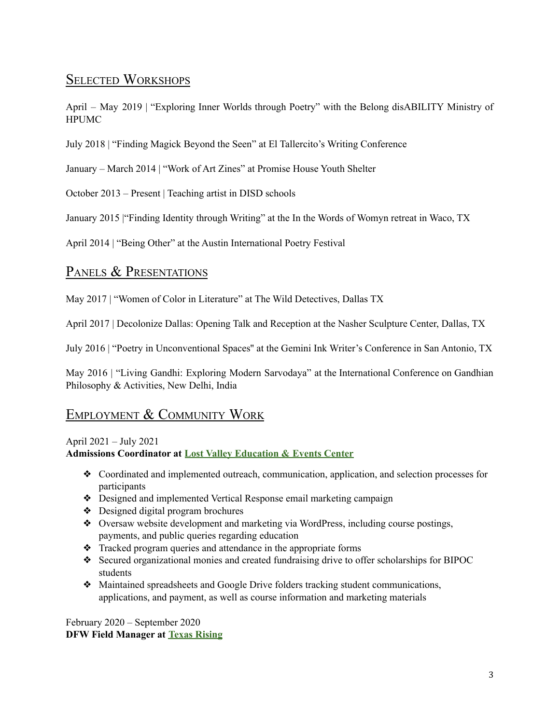# SELECTED WORKSHOPS

April – May 2019 | "Exploring Inner Worlds through Poetry" with the Belong disABILITY Ministry of HPUMC

July 2018 | "Finding Magick Beyond the Seen" at El Tallercito's Writing Conference

January – March 2014 | "Work of Art Zines" at Promise House Youth Shelter

October 2013 – Present | Teaching artist in DISD schools

January 2015 |"Finding Identity through Writing" at the In the Words of Womyn retreat in Waco, TX

April 2014 | "Being Other" at the Austin International Poetry Festival

## PANELS & PRESENTATIONS

May 2017 | "Women of Color in Literature" at The Wild Detectives, Dallas TX

April 2017 | Decolonize Dallas: Opening Talk and Reception at the Nasher Sculpture Center, Dallas, TX

July 2016 | "Poetry in Unconventional Spaces'' at the Gemini Ink Writer's Conference in San Antonio, TX

May 2016 | "Living Gandhi: Exploring Modern Sarvodaya" at the International Conference on Gandhian Philosophy & Activities, New Delhi, India

# EMPLOYMENT & COMMUNITY WORK

## April 2021 – July 2021 **Admissions Coordinator at Lost Valley [Education](https://lostvalley.org) & Events Center**

- ❖ Coordinated and implemented outreach, communication, application, and selection processes for participants
- ❖ Designed and implemented Vertical Response email marketing campaign
- ❖ Designed digital program brochures
- ❖ Oversaw website development and marketing via WordPress, including course postings, payments, and public queries regarding education
- ❖ Tracked program queries and attendance in the appropriate forms
- ❖ Secured organizational monies and created fundraising drive to offer scholarships for BIPOC students
- ❖ Maintained spreadsheets and Google Drive folders tracking student communications, applications, and payment, as well as course information and marketing materials

February 2020 – September 2020 **DFW Field Manager at Texas [Rising](https://txrising.org)**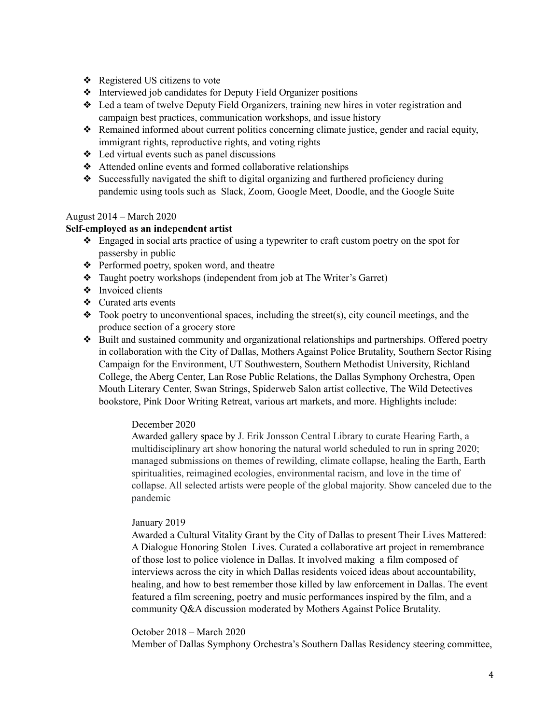- ❖ Registered US citizens to vote
- ❖ Interviewed job candidates for Deputy Field Organizer positions
- ❖ Led a team of twelve Deputy Field Organizers, training new hires in voter registration and campaign best practices, communication workshops, and issue history
- ❖ Remained informed about current politics concerning climate justice, gender and racial equity, immigrant rights, reproductive rights, and voting rights
- ❖ Led virtual events such as panel discussions
- ❖ Attended online events and formed collaborative relationships
- ❖ Successfully navigated the shift to digital organizing and furthered proficiency during pandemic using tools such as Slack, Zoom, Google Meet, Doodle, and the Google Suite

#### August 2014 – March 2020

#### **Self-employed as an independent artist**

- ❖ Engaged in social arts practice of using a typewriter to craft custom poetry on the spot for passersby in public
- ❖ Performed poetry, spoken word, and theatre
- ❖ Taught poetry workshops (independent from job at The Writer's Garret)
- ❖ Invoiced clients
- ❖ Curated arts events
- $\triangleleft$  Took poetry to unconventional spaces, including the street(s), city council meetings, and the produce section of a grocery store
- ❖ Built and sustained community and organizational relationships and partnerships. Offered poetry in collaboration with the City of Dallas, Mothers Against Police Brutality, Southern Sector Rising Campaign for the Environment, UT Southwestern, Southern Methodist University, Richland College, the Aberg Center, Lan Rose Public Relations, the Dallas Symphony Orchestra, Open Mouth Literary Center, Swan Strings, Spiderweb Salon artist collective, The Wild Detectives bookstore, Pink Door Writing Retreat, various art markets, and more. Highlights include:

#### December 2020

Awarded gallery space by J. Erik Jonsson Central Library to curate Hearing Earth, a multidisciplinary art show honoring the natural world scheduled to run in spring 2020; managed submissions on themes of rewilding, climate collapse, healing the Earth, Earth spiritualities, reimagined ecologies, environmental racism, and love in the time of collapse. All selected artists were people of the global majority. Show canceled due to the pandemic

#### January 2019

Awarded a Cultural Vitality Grant by the City of Dallas to present Their Lives Mattered: A Dialogue Honoring Stolen Lives. Curated a collaborative art project in remembrance of those lost to police violence in Dallas. It involved making a film composed of interviews across the city in which Dallas residents voiced ideas about accountability, healing, and how to best remember those killed by law enforcement in Dallas. The event featured a film screening, poetry and music performances inspired by the film, and a community Q&A discussion moderated by Mothers Against Police Brutality.

#### October 2018 – March 2020

Member of Dallas Symphony Orchestra's Southern Dallas Residency steering committee,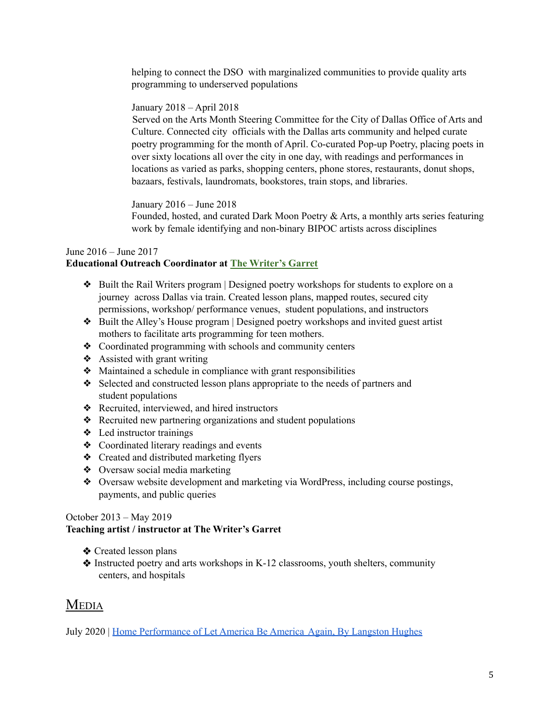helping to connect the DSO with marginalized communities to provide quality arts programming to underserved populations

#### January 2018 – April 2018

Served on the Arts Month Steering Committee for the City of Dallas Office of Arts and Culture. Connected city officials with the Dallas arts community and helped curate poetry programming for the month of April. Co-curated Pop-up Poetry, placing poets in over sixty locations all over the city in one day, with readings and performances in locations as varied as parks, shopping centers, phone stores, restaurants, donut shops, bazaars, festivals, laundromats, bookstores, train stops, and libraries.

January 2016 – June 2018

Founded, hosted, and curated Dark Moon Poetry & Arts, a monthly arts series featuring work by female identifying and non-binary BIPOC artists across disciplines

#### June 2016 – June 2017

## **Educational Outreach Coordinator at The [Writer's](https://writersgarret.org) Garret**

- ❖ Built the Rail Writers program | Designed poetry workshops for students to explore on a journey across Dallas via train. Created lesson plans, mapped routes, secured city permissions, workshop/ performance venues, student populations, and instructors
- ❖ Built the Alley's House program | Designed poetry workshops and invited guest artist mothers to facilitate arts programming for teen mothers.
- ❖ Coordinated programming with schools and community centers
- ❖ Assisted with grant writing
- ❖ Maintained a schedule in compliance with grant responsibilities
- ❖ Selected and constructed lesson plans appropriate to the needs of partners and student populations
- ❖ Recruited, interviewed, and hired instructors
- ❖ Recruited new partnering organizations and student populations
- ❖ Led instructor trainings
- ❖ Coordinated literary readings and events
- ❖ Created and distributed marketing flyers
- ❖ Oversaw social media marketing
- ❖ Oversaw website development and marketing via WordPress, including course postings, payments, and public queries

#### October 2013 – May 2019

#### **Teaching artist / instructor at The Writer's Garret**

- ❖ Created lesson plans
- ❖ Instructed poetry and arts workshops in K-12 classrooms, youth shelters, community centers, and hospitals

## **MEDIA**

July 2020 | Home [Performance](https://www.youtube.com/watch?v=YJgqUQE-sCk) of Let America Be America Again, By Langston Hughes